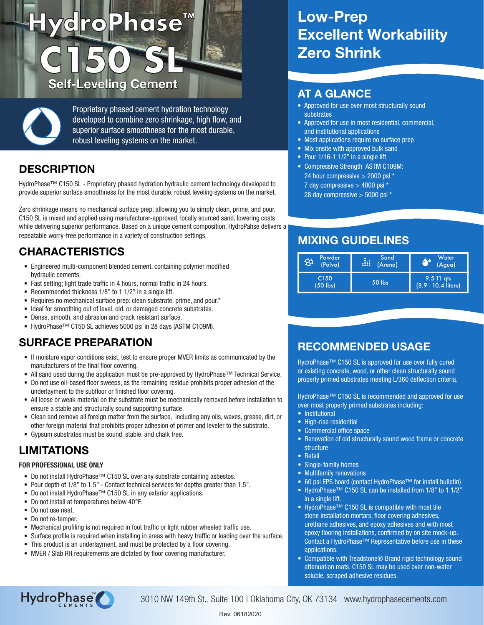# ) **HydroPhase™ C150 SL** Self-Leveling Cement AT A GLANCE

Proprietary phased cement hydration technology developed to combine zero shrinkage, high flow, and superior surface smoothness for the most durable, robust leveling systems on the market.

## **DESCRIPTION**

HydroPhase™ C150 SL - Proprietary phased hydration hydraulic cement technology developed to provide superior surface smoothness for the most durable, robust leveling systems on the market.

Zero shrinkage means no mechanical surface prep, allowing you to simply clean, prime, and pour. C150 SL is mixed and applied using manufacturer-approved, locally sourced sand, lowering costs while delivering superior performance. Based on a unique cement composition, HydroPahse delivers a repeatable worry-free performance in a variety of construction settings.

## CHARACTERISTICS

- Engineered multi-component blended cement, containing polymer modified hydraulic cements.
- Fast setting; light trade traffic in 4 hours, normal traffic in 24 hours.
- Recommended thickness 1/8" to 1 1/2" in a single lift.
- Requires no mechanical surface prep: clean substrate, prime, and pour.\*
- Ideal for smoothing out of level, old, or damaged concrete substrates.
- Dense, smooth, and abrasion and crack resistant surface.
- HydroPhase™ C150 SL achieves 5000 psi in 28 days (ASTM C109M).

#### SURFACE PREPARATION

- If moisture vapor conditions exist, test to ensure proper MVER limits as communicated by the manufacturers of the final floor covering.
- All sand used during the application must be pre-approved by HydroPhase™ Technical Service.
- Do not use oil-based floor sweeps, as the remaining residue prohibits proper adhesion of the underlayment to the subfloor or finished floor covering.
- All loose or weak material on the substrate must be mechanically removed before installation to ensure a stable and structurally sound supporting surface.
- Clean and remove all foreign matter from the surface, including any oils, waxes, grease, dirt, or other foreign material that prohibits proper adhesion of primer and leveler to the substrate.
- Gypsum substrates must be sound, stable, and chalk free.

#### LIMITATIONS

#### FOR PROFESSIONAL USE ONLY

- Do not install HydroPhase™ C150 SL over any substrate containing asbestos.
- Pour depth of 1/8" to 1.5" Contact technical services for depths greater than 1.5".
- Do not install HydroPhase™ C150 SL in any exterior applications.
- Do not install at temperatures below 40°F.
- Do not use neat.
- Do not re-temper.
- Mechanical profiling is not required in foot traffic or light rubber wheeled traffic use.
- Surface profile is required when installing in areas with heavy traffic or loading over the surface.
- This product is an underlayment, and must be protected by a floor covering.
- MVER / Slab RH requirements are dictated by floor covering manufacturer.

# Low-Prep Excellent Workability Zero Shrink

- Approved for use over most structurally sound substrates
- Approved for use in most residential, commercial, and institutional applications
- Most applications require no surface prep
- Mix onsite with approved bulk sand
- Pour 1/16-1 1/2" in a single lift
- Compressive Strength ASTM C109M: 24 hour compressive > 2000 psi \* 7 day compressive > 4000 psi \*
	- 28 day compressive > 5000 psi \*

#### MIXING GUIDELINES

| Powder                         | Sand    | Water                                 |
|--------------------------------|---------|---------------------------------------|
| ₩                              | Æ       | W                                     |
| (Polvo)                        | (Arena) | (Agua)                                |
| C <sub>150</sub><br>$(50$ lbs) | 50 lbs  | $9.5 - 11$ qts<br>(8.9 - 10.4 liters) |

#### RECOMMENDED USAGE

HydroPhase™ C150 SL is approved for use over fully cured or existing concrete, wood, or other clean structurally sound properly primed substrates meeting L/360 deflection criteria.

HydroPhase™ C150 SL is recommended and approved for use over most properly primed substrates including:

- Institutional
- High-rise residential
- Commercial office space
- Renovation of old structurally sound wood frame or concrete structure
- Retail
- Single-family homes
- Multifamily renovations
- 60 psi EPS board (contact HydroPhase™ for install bulletin)
- HydroPhase™ C150 SL can be installed from 1/8" to 1 1/2" in a single lift.
- HydroPhase™ C150 SL is compatible with most tile stone installation mortars, floor covering adhesives, urethane adhesives, and epoxy adhesives and with most epoxy flooring installations, confirmed by on site mock-up. Contact a HydroPhase™ Representative before use in these applications.
- Compatible with Treadstone<sup>®</sup> Brand rigid technology sound attenuation mats. C150 SL may be used over non-water soluble, scraped adhesive residues.



3010 NW 149th St., Suite 100 | Oklahoma City, OK 73134 www.hydrophasecements.com